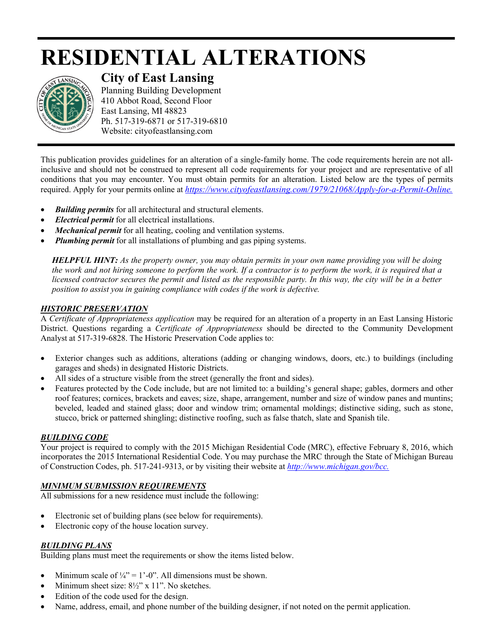# **RESIDENTIAL ALTERATIONS**



# **City of East Lansing**

Planning Building Development 410 Abbot Road, Second Floor East Lansing, MI 48823 Ph. 517-319-6871 or 517-319-6810 Website: cityofeastlansing.com

This publication provides guidelines for an alteration of a single-family home. The code requirements herein are not allinclusive and should not be construed to represent all code requirements for your project and are representative of all conditions that you may encounter. You must obtain permits for an alteration. Listed below are the types of permits required. Apply for your permits online at *[https://www.cityofeastlansing.com/1979/21068/Apply-for-a-Permit-Online.](https://gcc02.safelinks.protection.outlook.com/?url=https%3A%2F%2Fwww.cityofeastlansing.com%2F1979%2F21068%2FApply-for-a-Permit-Online&data=02%7C01%7Clyabs%40cityofeastlansing.com%7Cb9fe59df82de4643f38008d84e6d8f26%7C42c2237340d243c6b22f2c6f445fa115%7C0%7C0%7C637345579751519156&sdata=JYaSysmPHUZPke1N8AkQPIhf%2Bps%2FuXYwaY23UuMZrWo%3D&reserved=0)* 

- *Building permits* for all architectural and structural elements.
- *Electrical permit* for all electrical installations.
- *Mechanical permit* for all heating, cooling and ventilation systems.
- *Plumbing permit* for all installations of plumbing and gas piping systems.

*HELPFUL HINT: As the property owner, you may obtain permits in your own name providing you will be doing the work and not hiring someone to perform the work. If a contractor is to perform the work, it is required that a licensed contractor secures the permit and listed as the responsible party. In this way, the city will be in a better position to assist you in gaining compliance with codes if the work is defective.* 

## *HISTORIC PRESERVATION*

A *Certificate of Appropriateness application* may be required for an alteration of a property in an East Lansing Historic District. Questions regarding a *Certificate of Appropriateness* should be directed to the Community Development Analyst at 517-319-6828. The Historic Preservation Code applies to:

- Exterior changes such as additions, alterations (adding or changing windows, doors, etc.) to buildings (including garages and sheds) in designated Historic Districts.
- All sides of a structure visible from the street (generally the front and sides).
- Features protected by the Code include, but are not limited to: a building's general shape; gables, dormers and other roof features; cornices, brackets and eaves; size, shape, arrangement, number and size of window panes and muntins; beveled, leaded and stained glass; door and window trim; ornamental moldings; distinctive siding, such as stone, stucco, brick or patterned shingling; distinctive roofing, such as false thatch, slate and Spanish tile.

### *BUILDING CODE*

Your project is required to comply with the 2015 Michigan Residential Code (MRC), effective February 8, 2016, which incorporates the 2015 International Residential Code. You may purchase the MRC through the State of Michigan Bureau of Construction Codes, ph. 517-241-9313, or by visiting their website at *http://www.michigan.gov/bcc.*

# *MINIMUM SUBMISSION REQUIREMENTS*

All submissions for a new residence must include the following:

- Electronic set of building plans (see below for requirements).
- Electronic copy of the house location survey.

### *BUILDING PLANS*

Building plans must meet the requirements or show the items listed below.

- Minimum scale of  $\frac{1}{4}$ " = 1'-0". All dimensions must be shown.
- Minimum sheet size:  $8\frac{1}{2}$ " x 11". No sketches.
- Edition of the code used for the design.
- Name, address, email, and phone number of the building designer, if not noted on the permit application.